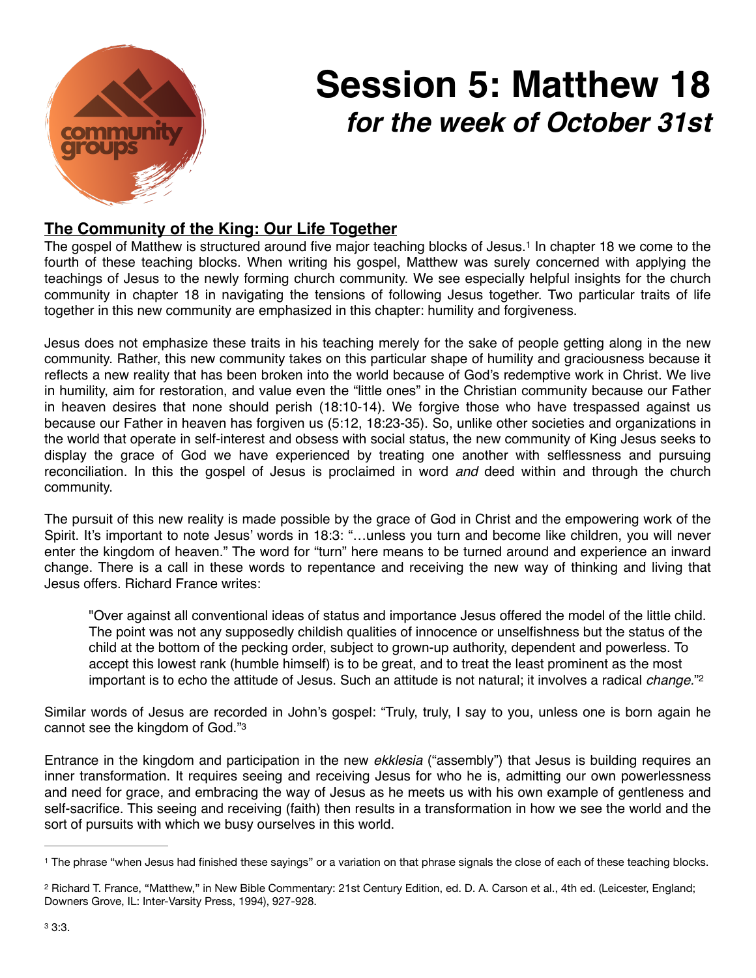

## <span id="page-0-3"></span>**Session 5: Matthew 18** *for the week of October 31st*

## **The Community of the King: Our Life Together**

The gospel of Matthew is structured around five major teaching blocks of Jesus[.](#page-0-0)<sup>[1](#page-0-0)</sup> In chapter 18 we come to the fourth of these teaching blocks. When writing his gospel, Matthew was surely concerned with applying the teachings of Jesus to the newly forming church community. We see especially helpful insights for the church community in chapter 18 in navigating the tensions of following Jesus together. Two particular traits of life together in this new community are emphasized in this chapter: humility and forgiveness.

Jesus does not emphasize these traits in his teaching merely for the sake of people getting along in the new community. Rather, this new community takes on this particular shape of humility and graciousness because it reflects a new reality that has been broken into the world because of God's redemptive work in Christ. We live in humility, aim for restoration, and value even the "little ones" in the Christian community because our Father in heaven desires that none should perish (18:10-14). We forgive those who have trespassed against us because our Father in heaven has forgiven us (5:12, 18:23-35). So, unlike other societies and organizations in the world that operate in self-interest and obsess with social status, the new community of King Jesus seeks to display the grace of God we have experienced by treating one another with selflessness and pursuing reconciliation. In this the gospel of Jesus is proclaimed in word *and* deed within and through the church community.

The pursuit of this new reality is made possible by the grace of God in Christ and the empowering work of the Spirit. It's important to note Jesus' words in 18:3: "…unless you turn and become like children, you will never enter the kingdom of heaven." The word for "turn" here means to be turned around and experience an inward change. There is a call in these words to repentance and receiving the new way of thinking and living that Jesus offers. Richard France writes:

<span id="page-0-5"></span><span id="page-0-4"></span>"Over against all conventional ideas of status and importance Jesus offered the model of the little child. The point was not any supposedly childish qualities of innocence or unselfishness but the status of the child at the bottom of the pecking order, subject to grown-up authority, dependent and powerless. To accept this lowest rank (humble himself) is to be great, and to treat the least prominent as the most important is to echo the attitude of Jesus. Such an attitude is not natural; it involves a radical *change.*["2](#page-0-1)

Similar words of Jesus are recorded in John's gospel: "Truly, truly, I say to you, unless one is born again he cannot see the kingdom of God."[3](#page-0-2)

Entrance in the kingdom and participation in the new *ekklesia* ("assembly") that Jesus is building requires an inner transformation. It requires seeing and receiving Jesus for who he is, admitting our own powerlessness and need for grace, and embracing the way of Jesus as he meets us with his own example of gentleness and self-sacrifice. This seeing and receiving (faith) then results in a transformation in how we see the world and the sort of pursuits with which we busy ourselves in this world.

<span id="page-0-0"></span><sup>&</sup>lt;sup>[1](#page-0-3)</sup> The phrase "when Jesus had finished these sayings" or a variation on that phrase signals the close of each of these teaching blocks.

<span id="page-0-2"></span><span id="page-0-1"></span><sup>&</sup>lt;sup>[2](#page-0-4)</sup> Richard T. France, "Matthew," in New Bible Commentary: 21st Century Edition, ed. D. A. Carson et al., 4th ed. (Leicester, England; Downers Grove, IL: Inter-Varsity Press, 1994), 927-928.